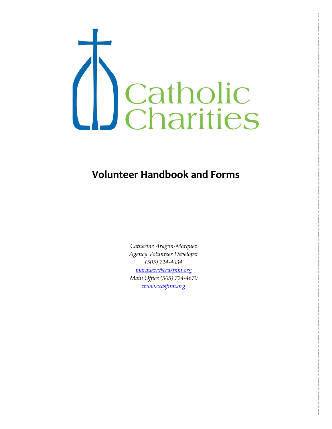

## **Volunteer Handbook and Forms**

*Catherine Aragon-Marquez Agency Volunteer Developer (505) 724-4634 [marquezc@ccasfnm.org](mailto:marquezc@ccasfnm.org) Main Office (505) 724-4670 [www.ccasfnm.org](http://www.ccasfnm.org/)*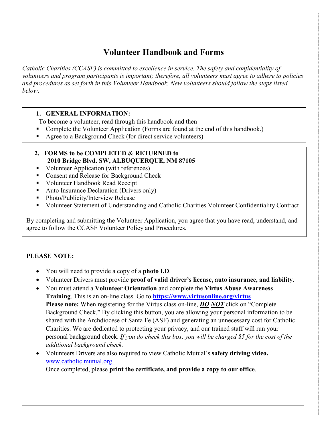## **Volunteer Handbook and Forms**

*Catholic Charities (CCASF) is committed to excellence in service. The safety and confidentiality of volunteers and program participants is important; therefore, all volunteers must agree to adhere to policies and procedures as set forth in this Volunteer Handbook. New volunteers should follow the steps listed below.* 

## **1. GENERAL INFORMATION:**

To become a volunteer, read through this handbook and then

- Complete the Volunteer Application (Forms are found at the end of this handbook.)
- Agree to a Background Check (for direct service volunteers)

#### **2. FORMS to be COMPLETED & RETURNED to 2010 Bridge Blvd. SW, ALBUQUERQUE, NM 87105**

- Volunteer Application (with references)
- **Consent and Release for Background Check**
- **Volunteer Handbook Read Receipt**
- Auto Insurance Declaration (Drivers only)
- Photo/Publicity/Interview Release
- Volunteer Statement of Understanding and Catholic Charities Volunteer Confidentiality Contract

By completing and submitting the Volunteer Application, you agree that you have read, understand, and agree to follow the CCASF Volunteer Policy and Procedures.

## **PLEASE NOTE:**

- You will need to provide a copy of a **photo I.D**.
- Volunteer Drivers must provide **proof of valid driver's license, auto insurance, and liability**.
- You must attend a **Volunteer Orientation** and complete the **Virtus Abuse Awareness Training**. This is an on-line class. Go to **<https://www.virtusonline.org/virtus> Please note:** When registering for the Virtus class on-line, *DO NOT* click on "Complete Background Check." By clicking this button, you are allowing your personal information to be shared with the Archdiocese of Santa Fe (ASF) and generating an unnecessary cost for Catholic Charities. We are dedicated to protecting your privacy, and our trained staff will run your personal background check. *If you do check this box, you will be charged \$5 for the cost of the additional background check.*
- Volunteers Drivers are also required to view Catholic Mutual's **safety driving video.** [www.catholic](http://www.catholic/) mutual.org.

Once completed, please **print the certificate, and provide a copy to our office**.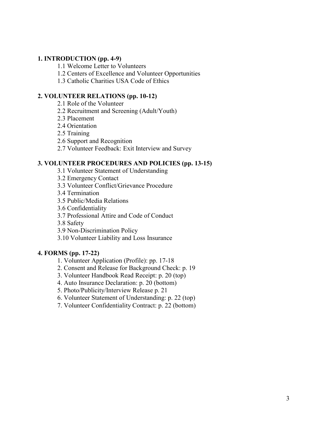#### **1. INTRODUCTION (pp. 4-9)**

1.1 Welcome Letter to Volunteers

1.2 Centers of Excellence and Volunteer Opportunities

1.3 Catholic Charities USA Code of Ethics

#### **2. VOLUNTEER RELATIONS (pp. 10-12)**

- 2.1 Role of the Volunteer
- 2.2 Recruitment and Screening (Adult/Youth)
- 2.3 Placement
- 2.4 Orientation
- 2.5 Training
- 2.6 Support and Recognition
- 2.7 Volunteer Feedback: Exit Interview and Survey

#### **3. VOLUNTEER PROCEDURES AND POLICIES (pp. 13-15)**

- 3.1 Volunteer Statement of Understanding
- 3.2 Emergency Contact
- 3.3 Volunteer Conflict/Grievance Procedure
- 3.4 Termination
- 3.5 Public/Media Relations
- 3.6 Confidentiality
- 3.7 Professional Attire and Code of Conduct
- 3.8 Safety
- 3.9 Non-Discrimination Policy
- 3.10 Volunteer Liability and Loss Insurance

#### **4. FORMS (pp. 17-22)**

- 1. Volunteer Application (Profile): pp. 17-18
- 2. Consent and Release for Background Check: p. 19
- 3. Volunteer Handbook Read Receipt: p. 20 (top)
- 4. Auto Insurance Declaration: p. 20 (bottom)
- 5. Photo/Publicity/Interview Release p. 21
- 6. Volunteer Statement of Understanding: p. 22 (top)
- 7. Volunteer Confidentiality Contract: p. 22 (bottom)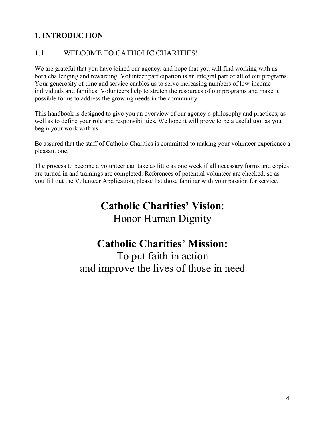## **1. INTRODUCTION**

## 1.1 WELCOME TO CATHOLIC CHARITIES!

We are grateful that you have joined our agency, and hope that you will find working with us both challenging and rewarding. Volunteer participation is an integral part of all of our programs. Your generosity of time and service enables us to serve increasing numbers of low-income individuals and families. Volunteers help to stretch the resources of our programs and make it possible for us to address the growing needs in the community.

This handbook is designed to give you an overview of our agency's philosophy and practices, as well as to define your role and responsibilities. We hope it will prove to be a useful tool as you begin your work with us.

Be assured that the staff of Catholic Charities is committed to making your volunteer experience a pleasant one.

The process to become a volunteer can take as little as one week if all necessary forms and copies are turned in and trainings are completed. References of potential volunteer are checked, so as you fill out the Volunteer Application, please list those familiar with your passion for service.

# **Catholic Charities' Vision**: Honor Human Dignity

## **Catholic Charities' Mission:**

To put faith in action and improve the lives of those in need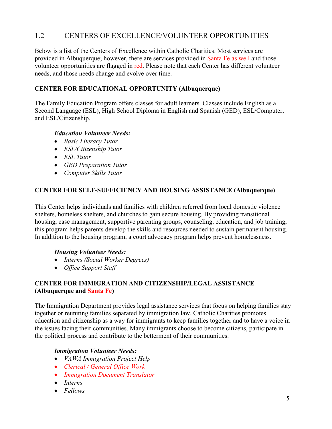## 1.2 CENTERS OF EXCELLENCE/VOLUNTEER OPPORTUNITIES

Below is a list of the Centers of Excellence within Catholic Charities. Most services are provided in Albuquerque; however, there are services provided in Santa Fe as well and those volunteer opportunities are flagged in red. Please note that each Center has different volunteer needs, and those needs change and evolve over time.

#### **CENTER FOR EDUCATIONAL OPPORTUNITY (Albuquerque)**

The Family Education Program offers classes for adult learners. Classes include English as a Second Language (ESL), High School Diploma in English and Spanish (GED), ESL/Computer, and ESL/Citizenship.

#### *Education Volunteer Needs:*

- *Basic Literacy Tutor*
- *ESL/Citizenship Tutor*
- *ESL Tutor*
- *GED Preparation Tutor*
- *Computer Skills Tutor*

#### **CENTER FOR SELF-SUFFICIENCY AND HOUSING ASSISTANCE (Albuquerque)**

This Center helps individuals and families with children referred from local domestic violence shelters, homeless shelters, and churches to gain secure housing. By providing transitional housing, case management, supportive parenting groups, counseling, education, and job training, this program helps parents develop the skills and resources needed to sustain permanent housing. In addition to the housing program, a court advocacy program helps prevent homelessness.

#### *Housing Volunteer Needs:*

- *Interns (Social Worker Degrees)*
- *Office Support Staff*

## **CENTER FOR IMMIGRATION AND CITIZENSHIP/LEGAL ASSISTANCE (Albuquerque and Santa Fe)**

The Immigration Department provides legal assistance services that focus on helping families stay together or reuniting families separated by immigration law. Catholic Charities promotes education and citizenship as a way for immigrants to keep families together and to have a voice in the issues facing their communities. Many immigrants choose to become citizens, participate in the political process and contribute to the betterment of their communities.

#### *Immigration Volunteer Needs:*

- *VAWA Immigration Project Help*
- *Clerical / General Office Work*
- *Immigration Document Translator*
- *Interns*
- *Fellows*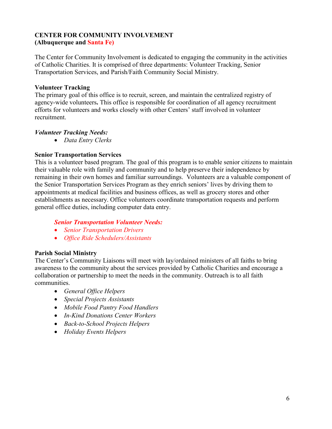### **CENTER FOR COMMUNITY INVOLVEMENT (Albuquerque and Santa Fe)**

The Center for Community Involvement is dedicated to engaging the community in the activities of Catholic Charities. It is comprised of three departments: Volunteer Tracking, Senior Transportation Services, and Parish/Faith Community Social Ministry.

#### **Volunteer Tracking**

The primary goal of this office is to recruit, screen, and maintain the centralized registry of agency-wide volunteers**.** This office is responsible for coordination of all agency recruitment efforts for volunteers and works closely with other Centers' staff involved in volunteer recruitment.

## *Volunteer Tracking Needs:*

• *Data Entry Clerks*

## **Senior Transportation Services**

This is a volunteer based program. The goal of this program is to enable senior citizens to maintain their valuable role with family and community and to help preserve their independence by remaining in their own homes and familiar surroundings. Volunteers are a valuable component of the Senior Transportation Services Program as they enrich seniors' lives by driving them to appointments at medical facilities and business offices, as well as grocery stores and other establishments as necessary. Office volunteers coordinate transportation requests and perform general office duties, including computer data entry.

#### *Senior Transportation Volunteer Needs:*

- *Senior Transportation Drivers*
- *Office Ride Schedulers/Assistants*

#### **Parish Social Ministry**

The Center's Community Liaisons will meet with lay/ordained ministers of all faiths to bring awareness to the community about the services provided by Catholic Charities and encourage a collaboration or partnership to meet the needs in the community. Outreach is to all faith communities.

- *General Office Helpers*
- *Special Projects Assistants*
- *Mobile Food Pantry Food Handlers*
- *In-Kind Donations Center Workers*
- *Back-to-School Projects Helpers*
- *Holiday Events Helpers*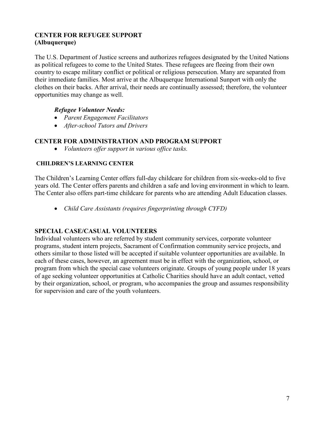## **CENTER FOR REFUGEE SUPPORT (Albuquerque)**

The U.S. Department of Justice screens and authorizes refugees designated by the United Nations as political refugees to come to the United States. These refugees are fleeing from their own country to escape military conflict or political or religious persecution. Many are separated from their immediate families. Most arrive at the Albuquerque International Sunport with only the clothes on their backs. After arrival, their needs are continually assessed; therefore, the volunteer opportunities may change as well.

## *Refugee Volunteer Needs:*

- *Parent Engagement Facilitators*
- *After-school Tutors and Drivers*

#### **CENTER FOR ADMINISTRATION AND PROGRAM SUPPORT**

• *Volunteers offer support in various office tasks.*

#### **CHILDREN'S LEARNING CENTER**

The Children's Learning Center offers full-day childcare for children from six-weeks-old to five years old. The Center offers parents and children a safe and loving environment in which to learn. The Center also offers part-time childcare for parents who are attending Adult Education classes.

• *Child Care Assistants (requires fingerprinting through CYFD)*

## **SPECIAL CASE/CASUAL VOLUNTEERS**

Individual volunteers who are referred by student community services, corporate volunteer programs, student intern projects, Sacrament of Confirmation community service projects, and others similar to those listed will be accepted if suitable volunteer opportunities are available. In each of these cases, however, an agreement must be in effect with the organization, school, or program from which the special case volunteers originate. Groups of young people under 18 years of age seeking volunteer opportunities at Catholic Charities should have an adult contact, vetted by their organization, school, or program, who accompanies the group and assumes responsibility for supervision and care of the youth volunteers.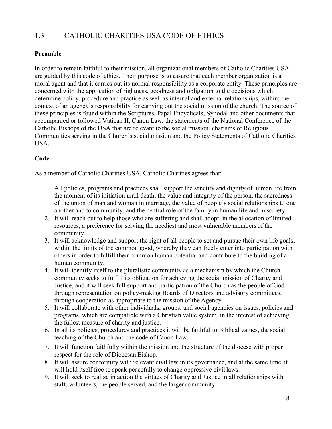## 1.3 CATHOLIC CHARITIES USA CODE OF ETHICS

## **Preamble**

In order to remain faithful to their mission, all organizational members of Catholic Charities USA are guided by this code of ethics. Their purpose is to assure that each member organization is a moral agent and that it carries out its normal responsibility as a corporate entity. These principles are concerned with the application of rightness, goodness and obligation to the decisions which determine policy, procedure and practice as well as internal and external relationships, within; the context of an agency's responsibility for carrying out the social mission of the church. The source of these principles is found within the Scriptures, Papal Encyclicals, Synodal and other documents that accompanied or followed Vatican II, Canon Law, the statements of the National Conference of the Catholic Bishops of the USA that are relevant to the social mission, charisms of Religious Communities serving in the Church's social mission and the Policy Statements of Catholic Charities USA.

## **Code**

As a member of Catholic Charities USA, Catholic Charities agrees that:

- 1. All policies, programs and practices shall support the sanctity and dignity of human life from the moment of its initiation until death, the value and integrity of the person, the sacredness of the union of man and woman in marriage, the value of people's social relationships to one another and to community, and the central role of the family in human life and in society.
- 2. It will reach out to help those who are suffering and shall adopt, in the allocation of limited resources, a preference for serving the neediest and most vulnerable members of the community.
- 3. It will acknowledge and support the right of all people to set and pursue their own life goals, within the limits of the common good, whereby they can freely enter into participation with others in order to fulfill their common human potential and contribute to the building of a human community.
- 4. It will identify itself to the pluralistic community as a mechanism by which the Church community seeks to fulfill its obligation for achieving the social mission of Charity and Justice, and it will seek full support and participation of the Church as the people of God through representation on policy-making Boards of Directors and advisory committees, through cooperation as appropriate to the mission of the Agency.
- 5. It will collaborate with other individuals, groups, and social agencies on issues, policies and programs, which are compatible with a Christian value system, in the interest of achieving the fullest measure of charity and justice.
- 6. In all its policies, procedures and practices it will be faithful to Biblical values, the social teaching of the Church and the code of Canon Law.
- 7. It will function faithfully within the mission and the structure of the diocese with proper respect for the role of Diocesan Bishop.
- 8. It will assure conformity with relevant civil law in its governance, and at the same time, it will hold itself free to speak peacefully to change oppressive civil laws.
- 9. It will seek to realize in action the virtues of Charity and Justice in all relationships with staff, volunteers, the people served, and the larger community.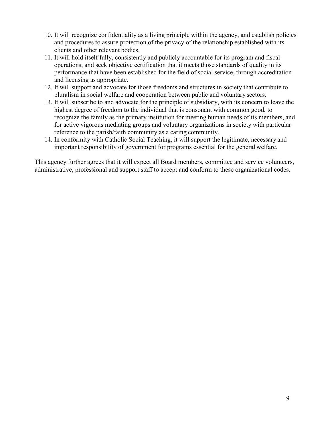- 10. It will recognize confidentiality as a living principle within the agency, and establish policies and procedures to assure protection of the privacy of the relationship established with its clients and other relevant bodies.
- 11. It will hold itself fully, consistently and publicly accountable for its program and fiscal operations, and seek objective certification that it meets those standards of quality in its performance that have been established for the field of social service, through accreditation and licensing as appropriate.
- 12. It will support and advocate for those freedoms and structures in society that contribute to pluralism in social welfare and cooperation between public and voluntary sectors.
- 13. It will subscribe to and advocate for the principle of subsidiary, with its concern to leave the highest degree of freedom to the individual that is consonant with common good, to recognize the family as the primary institution for meeting human needs of its members, and for active vigorous mediating groups and voluntary organizations in society with particular reference to the parish/faith community as a caring community.
- 14. In conformity with Catholic Social Teaching, it will support the legitimate, necessary and important responsibility of government for programs essential for the general welfare.

This agency further agrees that it will expect all Board members, committee and service volunteers, administrative, professional and support staff to accept and conform to these organizational codes.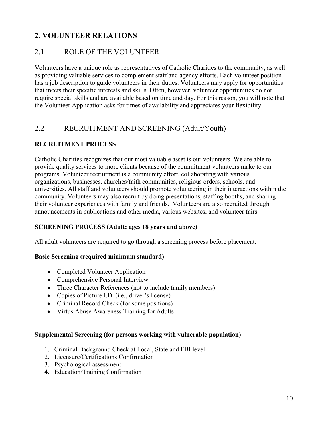## **2. VOLUNTEER RELATIONS**

## 2.1 ROLE OF THE VOLUNTEER

Volunteers have a unique role as representatives of Catholic Charities to the community, as well as providing valuable services to complement staff and agency efforts. Each volunteer position has a job description to guide volunteers in their duties. Volunteers may apply for opportunities that meets their specific interests and skills. Often, however, volunteer opportunities do not require special skills and are available based on time and day. For this reason, you will note that the Volunteer Application asks for times of availability and appreciates your flexibility.

## 2.2 RECRUITMENT AND SCREENING (Adult/Youth)

#### **RECRUITMENT PROCESS**

Catholic Charities recognizes that our most valuable asset is our volunteers. We are able to provide quality services to more clients because of the commitment volunteers make to our programs. Volunteer recruitment is a community effort, collaborating with various organizations, businesses, churches/faith communities, religious orders, schools, and universities. All staff and volunteers should promote volunteering in their interactions within the community. Volunteers may also recruit by doing presentations, staffing booths, and sharing their volunteer experiences with family and friends. Volunteers are also recruited through announcements in publications and other media, various websites, and volunteer fairs.

#### **SCREENING PROCESS (Adult: ages 18 years and above)**

All adult volunteers are required to go through a screening process before placement.

#### **Basic Screening (required minimum standard)**

- Completed Volunteer Application
- Comprehensive Personal Interview
- Three Character References (not to include family members)
- Copies of Picture I.D. (i.e., driver's license)
- Criminal Record Check (for some positions)
- Virtus Abuse Awareness Training for Adults

#### **Supplemental Screening (for persons working with vulnerable population)**

- 1. Criminal Background Check at Local, State and FBI level
- 2. Licensure/Certifications Confirmation
- 3. Psychological assessment
- 4. Education/Training Confirmation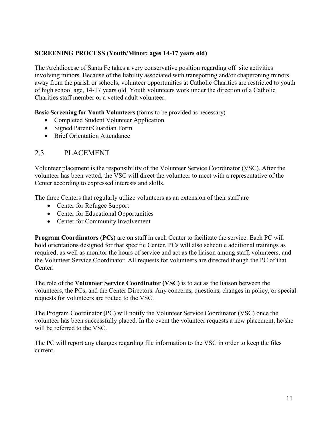### **SCREENING PROCESS (Youth/Minor: ages 14-17 years old)**

The Archdiocese of Santa Fe takes a very conservative position regarding off–site activities involving minors. Because of the liability associated with transporting and/or chaperoning minors away from the parish or schools, volunteer opportunities at Catholic Charities are restricted to youth of high school age, 14-17 years old. Youth volunteers work under the direction of a Catholic Charities staff member or a vetted adult volunteer.

**Basic Screening for Youth Volunteers** (forms to be provided as necessary)

- Completed Student Volunteer Application
- Signed Parent/Guardian Form
- Brief Orientation Attendance

## 2.3 PLACEMENT

Volunteer placement is the responsibility of the Volunteer Service Coordinator (VSC). After the volunteer has been vetted, the VSC will direct the volunteer to meet with a representative of the Center according to expressed interests and skills.

The three Centers that regularly utilize volunteers as an extension of their staff are

- Center for Refugee Support
- Center for Educational Opportunities
- Center for Community Involvement

**Program Coordinators (PCs)** are on staff in each Center to facilitate the service. Each PC will hold orientations designed for that specific Center. PCs will also schedule additional trainings as required, as well as monitor the hours of service and act as the liaison among staff, volunteers, and the Volunteer Service Coordinator. All requests for volunteers are directed though the PC of that Center.

The role of the **Volunteer Service Coordinator (VSC)** is to act as the liaison between the volunteers, the PCs, and the Center Directors. Any concerns, questions, changes in policy, or special requests for volunteers are routed to the VSC.

The Program Coordinator (PC) will notify the Volunteer Service Coordinator (VSC) once the volunteer has been successfully placed. In the event the volunteer requests a new placement, he/she will be referred to the VSC.

The PC will report any changes regarding file information to the VSC in order to keep the files current.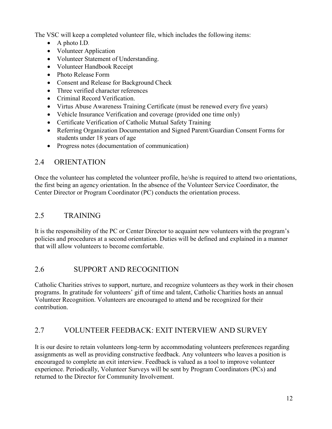The VSC will keep a completed volunteer file, which includes the following items:

- A photo I.D.
- Volunteer Application
- Volunteer Statement of Understanding.
- Volunteer Handbook Receipt
- Photo Release Form
- Consent and Release for Background Check
- Three verified character references
- Criminal Record Verification.
- Virtus Abuse Awareness Training Certificate (must be renewed every five years)
- Vehicle Insurance Verification and coverage (provided one time only)
- Certificate Verification of Catholic Mutual Safety Training
- Referring Organization Documentation and Signed Parent/Guardian Consent Forms for students under 18 years of age
- Progress notes (documentation of communication)

## 2.4 ORIENTATION

Once the volunteer has completed the volunteer profile, he/she is required to attend two orientations, the first being an agency orientation. In the absence of the Volunteer Service Coordinator, the Center Director or Program Coordinator (PC) conducts the orientation process.

## 2.5 TRAINING

It is the responsibility of the PC or Center Director to acquaint new volunteers with the program's policies and procedures at a second orientation. Duties will be defined and explained in a manner that will allow volunteers to become comfortable.

## 2.6 SUPPORT AND RECOGNITION

Catholic Charities strives to support, nurture, and recognize volunteers as they work in their chosen programs. In gratitude for volunteers' gift of time and talent, Catholic Charities hosts an annual Volunteer Recognition. Volunteers are encouraged to attend and be recognized for their contribution.

## 2.7 VOLUNTEER FEEDBACK: EXIT INTERVIEW AND SURVEY

It is our desire to retain volunteers long-term by accommodating volunteers preferences regarding assignments as well as providing constructive feedback. Any volunteers who leaves a position is encouraged to complete an exit interview. Feedback is valued as a tool to improve volunteer experience. Periodically, Volunteer Surveys will be sent by Program Coordinators (PCs) and returned to the Director for Community Involvement.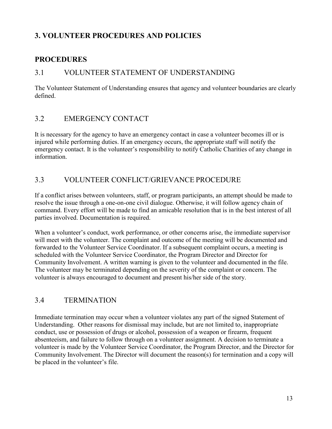## **3. VOLUNTEER PROCEDURES AND POLICIES**

## **PROCEDURES**

## 3.1 VOLUNTEER STATEMENT OF UNDERSTANDING

The Volunteer Statement of Understanding ensures that agency and volunteer boundaries are clearly defined.

## 3.2 EMERGENCY CONTACT

It is necessary for the agency to have an emergency contact in case a volunteer becomes ill or is injured while performing duties. If an emergency occurs, the appropriate staff will notify the emergency contact. It is the volunteer's responsibility to notify Catholic Charities of any change in information.

## 3.3 VOLUNTEER CONFLICT/GRIEVANCE PROCEDURE

If a conflict arises between volunteers, staff, or program participants, an attempt should be made to resolve the issue through a one-on-one civil dialogue. Otherwise, it will follow agency chain of command. Every effort will be made to find an amicable resolution that is in the best interest of all parties involved. Documentation is required.

When a volunteer's conduct, work performance, or other concerns arise, the immediate supervisor will meet with the volunteer. The complaint and outcome of the meeting will be documented and forwarded to the Volunteer Service Coordinator. If a subsequent complaint occurs, a meeting is scheduled with the Volunteer Service Coordinator, the Program Director and Director for Community Involvement. A written warning is given to the volunteer and documented in the file. The volunteer may be terminated depending on the severity of the complaint or concern. The volunteer is always encouraged to document and present his/her side of the story.

## 3.4 TERMINATION

Immediate termination may occur when a volunteer violates any part of the signed Statement of Understanding. Other reasons for dismissal may include, but are not limited to, inappropriate conduct, use or possession of drugs or alcohol, possession of a weapon or firearm, frequent absenteeism, and failure to follow through on a volunteer assignment. A decision to terminate a volunteer is made by the Volunteer Service Coordinator, the Program Director, and the Director for Community Involvement. The Director will document the reason(s) for termination and a copy will be placed in the volunteer's file.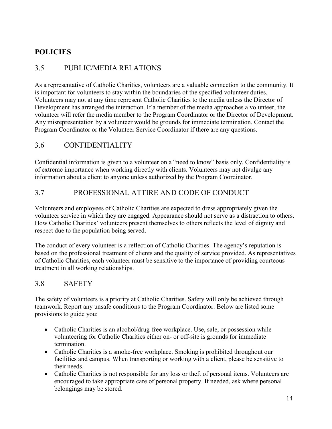## **POLICIES**

## 3.5 PUBLIC/MEDIA RELATIONS

As a representative of Catholic Charities, volunteers are a valuable connection to the community. It is important for volunteers to stay within the boundaries of the specified volunteer duties. Volunteers may not at any time represent Catholic Charities to the media unless the Director of Development has arranged the interaction. If a member of the media approaches a volunteer, the volunteer will refer the media member to the Program Coordinator or the Director of Development. Any misrepresentation by a volunteer would be grounds for immediate termination. Contact the Program Coordinator or the Volunteer Service Coordinator if there are any questions.

## 3.6 CONFIDENTIALITY

Confidential information is given to a volunteer on a "need to know" basis only. Confidentiality is of extreme importance when working directly with clients. Volunteers may not divulge any information about a client to anyone unless authorized by the Program Coordinator.

## 3.7 PROFESSIONAL ATTIRE AND CODE OF CONDUCT

Volunteers and employees of Catholic Charities are expected to dress appropriately given the volunteer service in which they are engaged. Appearance should not serve as a distraction to others. How Catholic Charities' volunteers present themselves to others reflects the level of dignity and respect due to the population being served.

The conduct of every volunteer is a reflection of Catholic Charities. The agency's reputation is based on the professional treatment of clients and the quality of service provided. As representatives of Catholic Charities, each volunteer must be sensitive to the importance of providing courteous treatment in all working relationships.

## 3.8 SAFETY

The safety of volunteers is a priority at Catholic Charities. Safety will only be achieved through teamwork. Report any unsafe conditions to the Program Coordinator. Below are listed some provisions to guide you:

- Catholic Charities is an alcohol/drug-free workplace. Use, sale, or possession while volunteering for Catholic Charities either on- or off-site is grounds for immediate termination.
- Catholic Charities is a smoke-free workplace. Smoking is prohibited throughout our facilities and campus. When transporting or working with a client, please be sensitive to their needs.
- Catholic Charities is not responsible for any loss or theft of personal items. Volunteers are encouraged to take appropriate care of personal property. If needed, ask where personal belongings may be stored.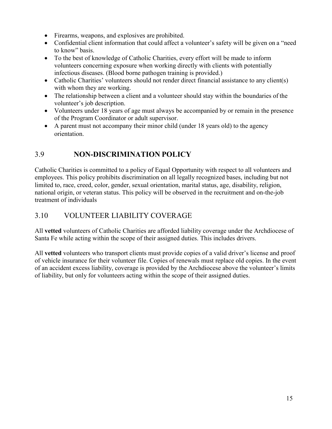- Firearms, weapons, and explosives are prohibited.
- Confidential client information that could affect a volunteer's safety will be given on a "need" to know" basis.
- To the best of knowledge of Catholic Charities, every effort will be made to inform volunteers concerning exposure when working directly with clients with potentially infectious diseases. (Blood borne pathogen training is provided.)
- Catholic Charities' volunteers should not render direct financial assistance to any client(s) with whom they are working.
- The relationship between a client and a volunteer should stay within the boundaries of the volunteer's job description.
- Volunteers under 18 years of age must always be accompanied by or remain in the presence of the Program Coordinator or adult supervisor.
- A parent must not accompany their minor child (under 18 years old) to the agency orientation.

## 3.9 **NON-DISCRIMINATION POLICY**

Catholic Charities is committed to a policy of Equal Opportunity with respect to all volunteers and employees. This policy prohibits discrimination on all legally recognized bases, including but not limited to, race, creed, color, gender, sexual orientation, marital status, age, disability, religion, national origin, or veteran status. This policy will be observed in the recruitment and on-the-job treatment of individuals

## 3.10 VOLUNTEER LIABILITY COVERAGE

All **vetted** volunteers of Catholic Charities are afforded liability coverage under the Archdiocese of Santa Fe while acting within the scope of their assigned duties. This includes drivers.

All **vetted** volunteers who transport clients must provide copies of a valid driver's license and proof of vehicle insurance for their volunteer file. Copies of renewals must replace old copies. In the event of an accident excess liability, coverage is provided by the Archdiocese above the volunteer's limits of liability, but only for volunteers acting within the scope of their assigned duties.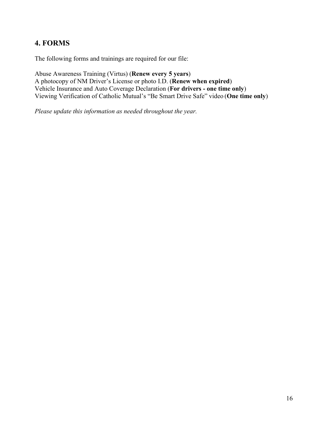## **4. FORMS**

The following forms and trainings are required for our file:

Abuse Awareness Training (Virtus) (**Renew every 5 years**) A photocopy of NM Driver's License or photo I.D. (**Renew when expired**) Vehicle Insurance and Auto Coverage Declaration (**For drivers - one time only**) Viewing Verification of Catholic Mutual's "Be Smart Drive Safe" video (**One time only**)

*Please update this information as needed throughout the year.*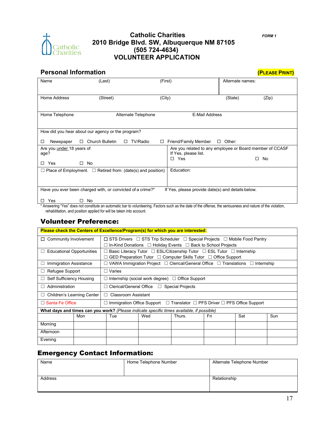

#### **Catholic Charities** *FORM 1* **2010 Bridge Blvd. SW, Albuquerque NM 87105 (505 724-4634) VOLUNTEER APPLICATION**

## **Personal Information**

|  |  | (PLEASE PRINT) |
|--|--|----------------|
|  |  |                |

| Name                                     | (Last)                                                                  | (First)                                                                          | Alternate names: |       |
|------------------------------------------|-------------------------------------------------------------------------|----------------------------------------------------------------------------------|------------------|-------|
| Home Address                             | (Street)                                                                | (City)                                                                           | (State)          | (Zip) |
| Home Telephone                           | Alternate Telephone                                                     | <b>E-Mail Address</b>                                                            |                  |       |
|                                          | How did you hear about our agency or the program?                       |                                                                                  |                  |       |
| Newspaper<br>□                           | <b>Church Bulletin</b><br>TV/Radio<br>$\Box$<br>□<br>$\Box$             | Friend/Family Member                                                             | Other:<br>$\Box$ |       |
| Are you <i>under</i> 18 years of<br>age? |                                                                         | Are you related to any employee or Board member of CCASF<br>If Yes, please list. |                  |       |
| Yes<br>$\Box$                            | No<br>П.                                                                | Yes<br>$\Box$                                                                    | □                | No    |
|                                          | $\Box$ Place of Employment. $\Box$ Retired from: (date(s) and position) | Education:                                                                       |                  |       |
|                                          |                                                                         |                                                                                  |                  |       |
|                                          | Have you ever been charged with, or convicted of a crime?*              | If Yes, please provide date(s) and details below.                                |                  |       |
| Yes<br>ΙI                                | No<br>H                                                                 |                                                                                  |                  |       |

\* Answering "Yes" does not constitute an automatic bar to volunteering. Factors such as the date of the offense, the seriousness and nature of the violation, rehabilitation, and position applied for will be taken into account.

#### Volunteer Preference:

|                                                                                           |     | Please check the Centers of Excellence/Program(s) for which you are interested:                    |                                                                                      |        |     |            |     |
|-------------------------------------------------------------------------------------------|-----|----------------------------------------------------------------------------------------------------|--------------------------------------------------------------------------------------|--------|-----|------------|-----|
| $\Box$ Community Involvement                                                              |     | $\Box$ STS Drivers $\Box$ STS Trip Scheduler $\Box$ Special Projects $\Box$ Mobile Food Pantry     |                                                                                      |        |     |            |     |
|                                                                                           |     |                                                                                                    | In-Kind Donations $\Box$ Holiday Events $\Box$ Back to School Projects               |        |     |            |     |
| <b>Educational Opportunities</b><br>⊔                                                     |     |                                                                                                    | Basic Literacy Tutor $\Box$ ESL/Citizenship Tutor $\Box$ ESL Tutor $\Box$ Internship |        |     |            |     |
|                                                                                           |     |                                                                                                    | GED Preparation Tutor □ Computer Skills Tutor □ Office Support                       |        |     |            |     |
| <b>Immigration Assistance</b><br>$\Box$                                                   |     |                                                                                                    | VAWA Immigration Project □ Clerical/General Office □ Translations □                  |        |     | Internship |     |
| Refugee Support<br>$\mathsf{L}$                                                           |     | Varies<br>П                                                                                        |                                                                                      |        |     |            |     |
| Self Sufficiency Housing<br>$\perp$                                                       |     |                                                                                                    | Internship (social work degree) $\Box$ Office Support                                |        |     |            |     |
| Administration<br>$\mathbf{1}$                                                            |     | Clerical/General Office □ Special Projects                                                         |                                                                                      |        |     |            |     |
| $\Box$ Children's Learning Center                                                         |     | Classroom Assistant<br>$\Box$                                                                      |                                                                                      |        |     |            |     |
| $\Box$ Santa Fe Office                                                                    |     | Immigration Office Support $\Box$ Translator $\Box$ PFS Driver $\Box$ PFS Office Support<br>$\Box$ |                                                                                      |        |     |            |     |
| What days and times can you work? (Please indicate specific times available, if possible) |     |                                                                                                    |                                                                                      |        |     |            |     |
|                                                                                           | Mon | Tue                                                                                                | Wed                                                                                  | Thurs. | Fri | Sat        | Sun |
| Morning                                                                                   |     |                                                                                                    |                                                                                      |        |     |            |     |
| Afternoon                                                                                 |     |                                                                                                    |                                                                                      |        |     |            |     |
| Evening                                                                                   |     |                                                                                                    |                                                                                      |        |     |            |     |

## Emergency Contact Information:

| Name    | Home Telephone Number | Alternate Telephone Number |
|---------|-----------------------|----------------------------|
|         |                       |                            |
|         |                       |                            |
| Address |                       | Relationship               |
|         |                       |                            |
|         |                       |                            |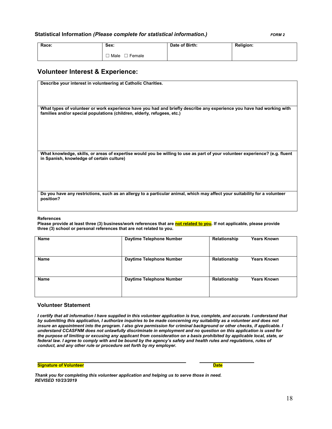#### **Statistical Information** *(Please complete for statistical information.) FORM 2*

| Race: | Sex:           | Date of Birth: | <b>Religion:</b> |
|-------|----------------|----------------|------------------|
|       | Male<br>Female |                |                  |

#### **Volunteer Interest & Experience:**

| Describe your interest in volunteering at Catholic Charities.                                                                                                                                    |
|--------------------------------------------------------------------------------------------------------------------------------------------------------------------------------------------------|
|                                                                                                                                                                                                  |
| What types of volunteer or work experience have you had and briefly describe any experience you have had working with<br>families and/or special populations (children, elderly, refugees, etc.) |
| What knowledge, skills, or areas of expertise would you be willing to use as part of your volunteer experience? (e.g. fluent<br>in Spanish, knowledge of certain culture)                        |
|                                                                                                                                                                                                  |
| Do you have any restrictions, such as an allergy to a particular animal, which may affect your suitability for a volunteer<br>position?                                                          |

#### **References**

Please provide at least three (3) business/work references that are **not related to you**. If not applicable, please provide **three (3) school or personal references that are not related to you.**

| <b>Name</b> | <b>Daytime Telephone Number</b> | Relationship | <b>Years Known</b> |
|-------------|---------------------------------|--------------|--------------------|
| Name        | Daytime Telephone Number        | Relationship | <b>Years Known</b> |
| Name        | <b>Daytime Telephone Number</b> | Relationship | <b>Years Known</b> |

#### **Volunteer Statement**

*I certify that all information I have supplied in this volunteer application is true, complete, and accurate. I understand that by submitting this application, I authorize inquiries to be made concerning my suitability as a volunteer and does not insure an appointment into the program. I also give permission for criminal background or other checks, if applicable. I understand CCASFNM does not unlawfully discriminate in employment and no question on this application is used for the purpose of limiting or excusing any applicant from consideration on a basis prohibited by applicable local, state, or*  federal law. I agree to comply with and be bound by the agency's safety and health rules and regulations, rules of *conduct, and any other rule or procedure set forth by my employer.*

**Signature of Volunteer Date**

*Thank you for completing this volunteer application and helping us to serve those in need. REVISED 10/23/2019*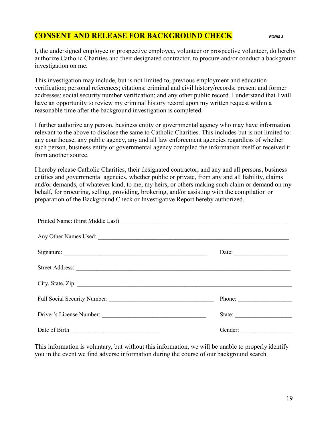## **CONSENT AND RELEASE FOR BACKGROUND CHECK** *FORM 3*

I, the undersigned employee or prospective employee, volunteer or prospective volunteer, do hereby authorize Catholic Charities and their designated contractor, to procure and/or conduct a background investigation on me.

This investigation may include, but is not limited to, previous employment and education verification; personal references; citations; criminal and civil history/records; present and former addresses; social security number verification; and any other public record. I understand that I will have an opportunity to review my criminal history record upon my written request within a reasonable time after the background investigation is completed.

I further authorize any person, business entity or governmental agency who may have information relevant to the above to disclose the same to Catholic Charities. This includes but is not limited to: any courthouse, any public agency, any and all law enforcement agencies regardless of whether such person, business entity or governmental agency compiled the information itself or received it from another source.

I hereby release Catholic Charities, their designated contractor, and any and all persons, business entities and governmental agencies, whether public or private, from any and all liability, claims and/or demands, of whatever kind, to me, my heirs, or others making such claim or demand on my behalf, for procuring, selling, providing, brokering, and/or assisting with the compilation or preparation of the Background Check or Investigative Report hereby authorized.

| Signature: | Date: $\qquad \qquad$ |
|------------|-----------------------|
|            |                       |
|            |                       |
|            | Phone:                |
|            | State:                |
|            |                       |

This information is voluntary, but without this information, we will be unable to properly identify you in the event we find adverse information during the course of our background search.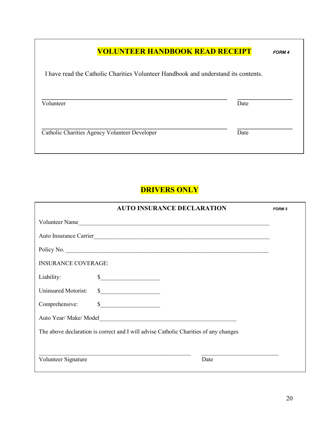| <b>VOLUNTEER HANDBOOK READ RECEIPT</b>                                             |      | <b>FORM 4</b> |
|------------------------------------------------------------------------------------|------|---------------|
| I have read the Catholic Charities Volunteer Handbook and understand its contents. |      |               |
| Volunteer                                                                          | Date |               |
| Catholic Charities Agency Volunteer Developer                                      | Date |               |

## **DRIVERS ONLY**

|                            | <b>AUTO INSURANCE DECLARATION</b>                                                                                                                                                                                                                                                                                                                                                                                        | <b>FORM 5</b> |
|----------------------------|--------------------------------------------------------------------------------------------------------------------------------------------------------------------------------------------------------------------------------------------------------------------------------------------------------------------------------------------------------------------------------------------------------------------------|---------------|
|                            | Volunteer Name                                                                                                                                                                                                                                                                                                                                                                                                           |               |
|                            | Auto Insurance Carrier                                                                                                                                                                                                                                                                                                                                                                                                   |               |
|                            |                                                                                                                                                                                                                                                                                                                                                                                                                          |               |
| <b>INSURANCE COVERAGE:</b> |                                                                                                                                                                                                                                                                                                                                                                                                                          |               |
| Liability:                 | $\frac{1}{2}$                                                                                                                                                                                                                                                                                                                                                                                                            |               |
| Uninsured Motorist:        | $\frac{\text{S}}{\text{S}}$                                                                                                                                                                                                                                                                                                                                                                                              |               |
| Comprehensive:             | $\begin{array}{c c c c c c} \hline \textbf{S} & \textbf{S} & \textbf{S} & \textbf{S} & \textbf{S} & \textbf{S} & \textbf{S} & \textbf{S} & \textbf{S} & \textbf{S} & \textbf{S} & \textbf{S} & \textbf{S} & \textbf{S} & \textbf{S} & \textbf{S} & \textbf{S} & \textbf{S} & \textbf{S} & \textbf{S} & \textbf{S} & \textbf{S} & \textbf{S} & \textbf{S} & \textbf{S} & \textbf{S} & \textbf{S} & \textbf{S} & \textbf{$ |               |
|                            | Auto Year/ Make/ Model                                                                                                                                                                                                                                                                                                                                                                                                   |               |
|                            | The above declaration is correct and I will advise Catholic Charities of any changes                                                                                                                                                                                                                                                                                                                                     |               |
|                            |                                                                                                                                                                                                                                                                                                                                                                                                                          |               |
| Volunteer Signature        | Date                                                                                                                                                                                                                                                                                                                                                                                                                     |               |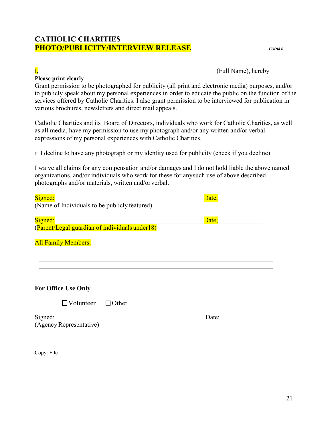## **CATHOLIC CHARITIES PHOTO/PUBLICITY/INTERVIEW RELEASE** *FORM 6*

## **Please print clearly**

I, (Full Name), hereby

Grant permission to be photographed for publicity (all print and electronic media) purposes, and/or to publicly speak about my personal experiences in order to educate the public on the function of the services offered by Catholic Charities. I also grant permission to be interviewed for publication in various brochures, newsletters and direct mail appeals.

Catholic Charities and its Board of Directors, individuals who work for Catholic Charities, as well as all media, have my permission to use my photograph and/or any written and/or verbal expressions of my personal experiences with Catholic Charities.

 $\Box$  I decline to have any photograph or my identity used for publicity (check if you decline)

I waive all claims for any compensation and/or damages and I do not hold liable the above named organizations, and/or individuals who work for these for anysuch use of above described photographs and/or materials, written and/orverbal.

| Date; |
|-------|
|       |
|       |
|       |
|       |
|       |
|       |
| Date: |
|       |
|       |

Copy: File